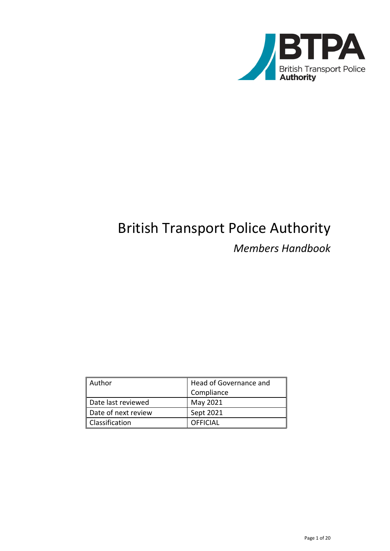

# British Transport Police Authority *Members Handbook*

| Author              | Head of Governance and |  |
|---------------------|------------------------|--|
|                     | Compliance             |  |
| Date last reviewed  | May 2021               |  |
| Date of next review | Sept 2021              |  |
| Classification      | <b>OFFICIAL</b>        |  |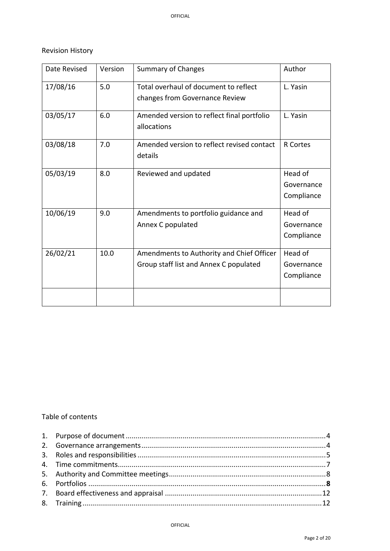# Revision History

| Date Revised | Version | <b>Summary of Changes</b>                                                           | Author                              |
|--------------|---------|-------------------------------------------------------------------------------------|-------------------------------------|
| 17/08/16     | 5.0     | Total overhaul of document to reflect<br>changes from Governance Review             | L. Yasin                            |
| 03/05/17     | 6.0     | Amended version to reflect final portfolio<br>allocations                           | L. Yasin                            |
| 03/08/18     | 7.0     | Amended version to reflect revised contact<br>details                               | <b>R</b> Cortes                     |
| 05/03/19     | 8.0     | Reviewed and updated                                                                | Head of<br>Governance<br>Compliance |
| 10/06/19     | 9.0     | Amendments to portfolio guidance and<br>Annex C populated                           | Head of<br>Governance<br>Compliance |
| 26/02/21     | 10.0    | Amendments to Authority and Chief Officer<br>Group staff list and Annex C populated | Head of<br>Governance<br>Compliance |
|              |         |                                                                                     |                                     |

# Table of contents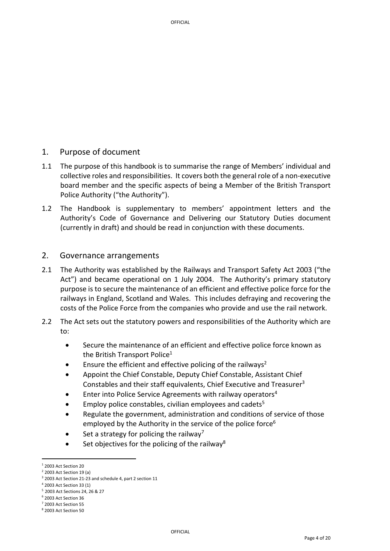# 1. Purpose of document

- 1.1 The purpose of this handbook is to summarise the range of Members' individual and collective roles and responsibilities. It covers both the general role of a non‐executive board member and the specific aspects of being a Member of the British Transport Police Authority ("the Authority").
- 1.2 The Handbook is supplementary to members' appointment letters and the Authority's Code of Governance and Delivering our Statutory Duties document (currently in draft) and should be read in conjunction with these documents.

# 2. Governance arrangements

- 2.1 The Authority was established by the Railways and Transport Safety Act 2003 ("the Act") and became operational on 1 July 2004. The Authority's primary statutory purpose is to secure the maintenance of an efficient and effective police force for the railways in England, Scotland and Wales. This includes defraying and recovering the costs of the Police Force from the companies who provide and use the rail network.
- 2.2 The Act sets out the statutory powers and responsibilities of the Authority which are to:
	- Secure the maintenance of an efficient and effective police force known as the British Transport Police $1$
	- Ensure the efficient and effective policing of the railways<sup>2</sup>
	- Appoint the Chief Constable, Deputy Chief Constable, Assistant Chief Constables and their staff equivalents, Chief Executive and Treasurer<sup>3</sup>
	- Enter into Police Service Agreements with railway operators4
	- Employ police constables, civilian employees and cadets<sup>5</sup>
	- Regulate the government, administration and conditions of service of those employed by the Authority in the service of the police force<sup>6</sup>
	- Set a strategy for policing the railway<sup>7</sup>
	- Set objectives for the policing of the railway<sup>8</sup>

 $1$  2003 Act Section 20

<sup>2</sup> 2003 Act Section 19 (a)

<sup>&</sup>lt;sup>3</sup> 2003 Act Section 21-23 and schedule 4, part 2 section 11

<sup>4</sup> 2003 Act Section 33 (1)

<sup>5</sup> 2003 Act Sections 24, 26 & 27

<sup>6</sup> 2003 Act Section 36

<sup>7</sup> 2003 Act Section 55

<sup>8</sup> 2003 Act Section 50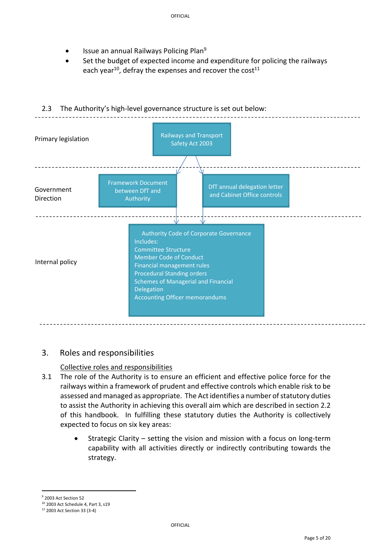- Issue an annual Railways Policing Plan9
- Set the budget of expected income and expenditure for policing the railways each year<sup>10</sup>, defray the expenses and recover the cost<sup>11</sup>



# 2.3 The Authority's high-level governance structure is set out below:

# 3. Roles and responsibilities

# Collective roles and responsibilities

- 3.1 The role of the Authority is to ensure an efficient and effective police force for the railways within a framework of prudent and effective controls which enable risk to be assessed and managed as appropriate. The Act identifies a number of statutory duties to assist the Authority in achieving this overall aim which are described in section 2.2 of this handbook. In fulfilling these statutory duties the Authority is collectively expected to focus on six key areas:
	- Strategic Clarity setting the vision and mission with a focus on long‐term capability with all activities directly or indirectly contributing towards the strategy.

<sup>9</sup> 2003 Act Section 52

<sup>10</sup> 2003 Act Schedule 4, Part 3, s19

<sup>11</sup> 2003 Act Section 33 (3‐4)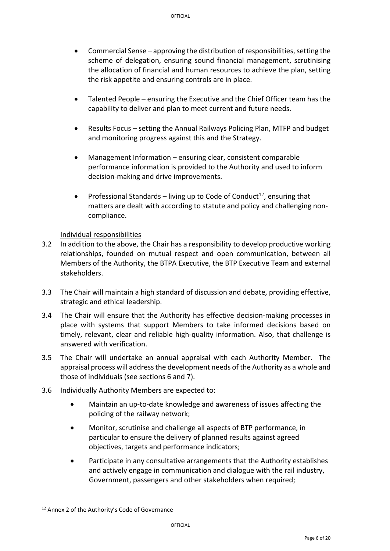- $\bullet$  Commercial Sense approving the distribution of responsibilities, setting the scheme of delegation, ensuring sound financial management, scrutinising the allocation of financial and human resources to achieve the plan, setting the risk appetite and ensuring controls are in place.
- Talented People ensuring the Executive and the Chief Officer team has the capability to deliver and plan to meet current and future needs.
- Results Focus setting the Annual Railways Policing Plan, MTFP and budget and monitoring progress against this and the Strategy.
- Management Information ensuring clear, consistent comparable performance information is provided to the Authority and used to inform decision‐making and drive improvements.
- Professional Standards living up to Code of Conduct<sup>12</sup>, ensuring that matters are dealt with according to statute and policy and challenging non‐ compliance.

# Individual responsibilities

- 3.2 In addition to the above, the Chair has a responsibility to develop productive working relationships, founded on mutual respect and open communication, between all Members of the Authority, the BTPA Executive, the BTP Executive Team and external stakeholders.
- 3.3 The Chair will maintain a high standard of discussion and debate, providing effective, strategic and ethical leadership.
- 3.4 The Chair will ensure that the Authority has effective decision-making processes in place with systems that support Members to take informed decisions based on timely, relevant, clear and reliable high-quality information. Also, that challenge is answered with verification.
- 3.5 The Chair will undertake an annual appraisal with each Authority Member. The appraisal process will address the development needs of the Authority as a whole and those of individuals (see sections 6 and 7).
- 3.6 Individually Authority Members are expected to:
	- Maintain an up-to-date knowledge and awareness of issues affecting the policing of the railway network;
	- Monitor, scrutinise and challenge all aspects of BTP performance, in particular to ensure the delivery of planned results against agreed objectives, targets and performance indicators;
	- Participate in any consultative arrangements that the Authority establishes and actively engage in communication and dialogue with the rail industry, Government, passengers and other stakeholders when required;

<sup>12</sup> Annex 2 of the Authority's Code of Governance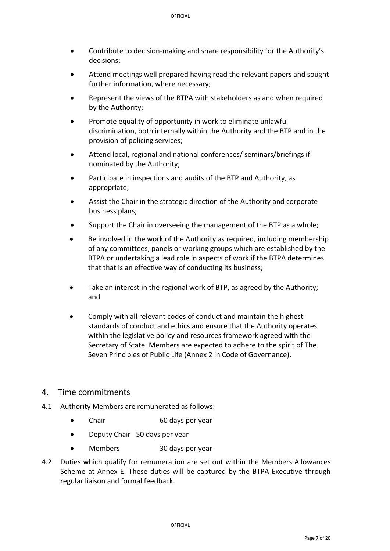- Contribute to decision-making and share responsibility for the Authority's decisions;
- Attend meetings well prepared having read the relevant papers and sought further information, where necessary;
- Represent the views of the BTPA with stakeholders as and when required by the Authority;
- Promote equality of opportunity in work to eliminate unlawful discrimination, both internally within the Authority and the BTP and in the provision of policing services;
- Attend local, regional and national conferences/ seminars/briefings if nominated by the Authority;
- Participate in inspections and audits of the BTP and Authority, as appropriate;
- Assist the Chair in the strategic direction of the Authority and corporate business plans;
- Support the Chair in overseeing the management of the BTP as a whole;
- Be involved in the work of the Authority as required, including membership of any committees, panels or working groups which are established by the BTPA or undertaking a lead role in aspects of work if the BTPA determines that that is an effective way of conducting its business;
- Take an interest in the regional work of BTP, as agreed by the Authority; and
- Comply with all relevant codes of conduct and maintain the highest standards of conduct and ethics and ensure that the Authority operates within the legislative policy and resources framework agreed with the Secretary of State. Members are expected to adhere to the spirit of The Seven Principles of Public Life (Annex 2 in Code of Governance).

# 4. Time commitments

- 4.1 Authority Members are remunerated as follows:
	- Chair 60 days per year
	- Deputy Chair 50 days per year
	- Members 30 days per year
- 4.2 Duties which qualify for remuneration are set out within the Members Allowances Scheme at Annex E. These duties will be captured by the BTPA Executive through regular liaison and formal feedback.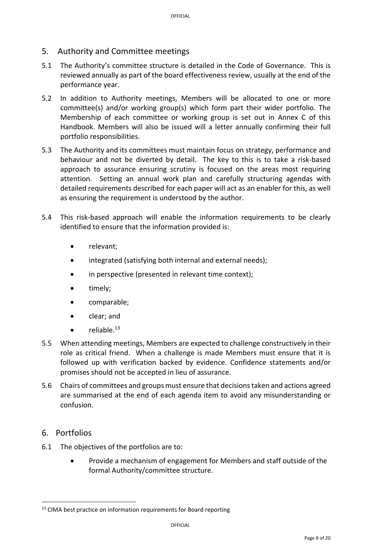# 5. Authority and Committee meetings

- 5.1 The Authority's committee structure is detailed in the Code of Governance. This is reviewed annually as part of the board effectiveness review, usually at the end of the performance year.
- 5.2 In addition to Authority meetings, Members will be allocated to one or more committee(s) and/or working group(s) which form part their wider portfolio. The Membership of each committee or working group is set out in Annex C of this Handbook. Members will also be issued will a letter annually confirming their full portfolio responsibilities.
- 5.3 The Authority and its committees must maintain focus on strategy, performance and behaviour and not be diverted by detail. The key to this is to take a risk‐based approach to assurance ensuring scrutiny is focused on the areas most requiring attention. Setting an annual work plan and carefully structuring agendas with detailed requirements described for each paper will act as an enabler for this, as well as ensuring the requirement is understood by the author.
- 5.4 This risk‐based approach will enable the information requirements to be clearly identified to ensure that the information provided is:
	- relevant:
	- integrated (satisfying both internal and external needs);
	- in perspective (presented in relevant time context);
	- timely;
	- comparable;
	- clear; and
	- $\bullet$  reliable.<sup>13</sup>
- 5.5 When attending meetings, Members are expected to challenge constructively in their role as critical friend. When a challenge is made Members must ensure that it is followed up with verification backed by evidence. Confidence statements and/or promises should not be accepted in lieu of assurance.
- 5.6 Chairs of committees and groups must ensure that decisionstaken and actions agreed are summarised at the end of each agenda item to avoid any misunderstanding or confusion.

# 6. Portfolios

6.1 The objectives of the portfolios are to:

 Provide a mechanism of engagement for Members and staff outside of the formal Authority/committee structure.

<sup>&</sup>lt;sup>13</sup> CIMA best practice on information requirements for Board reporting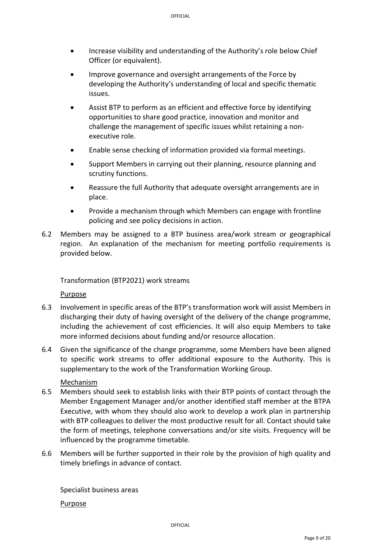- Increase visibility and understanding of the Authority's role below Chief Officer (or equivalent).
- Improve governance and oversight arrangements of the Force by developing the Authority's understanding of local and specific thematic issues.
- Assist BTP to perform as an efficient and effective force by identifying opportunities to share good practice, innovation and monitor and challenge the management of specific issues whilst retaining a non‐ executive role.
- Enable sense checking of information provided via formal meetings.
- Support Members in carrying out their planning, resource planning and scrutiny functions.
- Reassure the full Authority that adequate oversight arrangements are in place.
- Provide a mechanism through which Members can engage with frontline policing and see policy decisions in action.
- 6.2 Members may be assigned to a BTP business area/work stream or geographical region. An explanation of the mechanism for meeting portfolio requirements is provided below.

# Transformation (BTP2021) work streams

# Purpose

- 6.3 Involvement in specific areas of the BTP's transformation work will assist Members in discharging their duty of having oversight of the delivery of the change programme, including the achievement of cost efficiencies. It will also equip Members to take more informed decisions about funding and/or resource allocation.
- 6.4 Given the significance of the change programme, some Members have been aligned to specific work streams to offer additional exposure to the Authority. This is supplementary to the work of the Transformation Working Group.

#### Mechanism

- 6.5 Members should seek to establish links with their BTP points of contact through the Member Engagement Manager and/or another identified staff member at the BTPA Executive, with whom they should also work to develop a work plan in partnership with BTP colleagues to deliver the most productive result for all. Contact should take the form of meetings, telephone conversations and/or site visits. Frequency will be influenced by the programme timetable.
- 6.6 Members will be further supported in their role by the provision of high quality and timely briefings in advance of contact.

Specialist business areas Purpose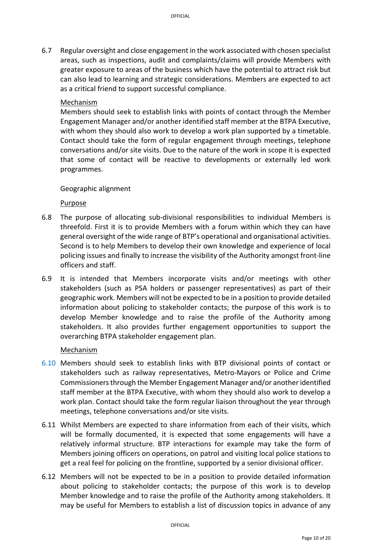6.7 Regular oversight and close engagement in the work associated with chosen specialist areas, such as inspections, audit and complaints/claims will provide Members with greater exposure to areas of the business which have the potential to attract risk but can also lead to learning and strategic considerations. Members are expected to act as a critical friend to support successful compliance.

# Mechanism

Members should seek to establish links with points of contact through the Member Engagement Manager and/or another identified staff member at the BTPA Executive, with whom they should also work to develop a work plan supported by a timetable. Contact should take the form of regular engagement through meetings, telephone conversations and/or site visits. Due to the nature of the work in scope it is expected that some of contact will be reactive to developments or externally led work programmes.

# Geographic alignment

# Purpose

- 6.8 The purpose of allocating sub‐divisional responsibilities to individual Members is threefold. First it is to provide Members with a forum within which they can have general oversight of the wide range of BTP's operational and organisational activities. Second is to help Members to develop their own knowledge and experience of local policing issues and finally to increase the visibility of the Authority amongst front‐line officers and staff.
- 6.9 It is intended that Members incorporate visits and/or meetings with other stakeholders (such as PSA holders or passenger representatives) as part of their geographic work. Members will not be expected to be in a position to provide detailed information about policing to stakeholder contacts; the purpose of this work is to develop Member knowledge and to raise the profile of the Authority among stakeholders. It also provides further engagement opportunities to support the overarching BTPA stakeholder engagement plan.

# Mechanism

- 6.10 Members should seek to establish links with BTP divisional points of contact or stakeholders such as railway representatives, Metro‐Mayors or Police and Crime Commissionersthrough the Member Engagement Manager and/or another identified staff member at the BTPA Executive, with whom they should also work to develop a work plan. Contact should take the form regular liaison throughout the year through meetings, telephone conversations and/or site visits.
- 6.11 Whilst Members are expected to share information from each of their visits, which will be formally documented, it is expected that some engagements will have a relatively informal structure. BTP interactions for example may take the form of Members joining officers on operations, on patrol and visiting local police stations to get a real feel for policing on the frontline, supported by a senior divisional officer.
- 6.12 Members will not be expected to be in a position to provide detailed information about policing to stakeholder contacts; the purpose of this work is to develop Member knowledge and to raise the profile of the Authority among stakeholders. It may be useful for Members to establish a list of discussion topics in advance of any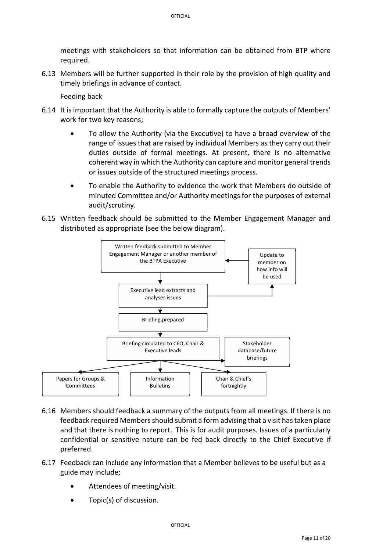meetings with stakeholders so that information can be obtained from BTP where required.

6.13 Members will be further supported in their role by the provision of high quality and timely briefings in advance of contact.

Feeding back

- 6.14 It is important that the Authority is able to formally capture the outputs of Members' work for two key reasons;
	- To allow the Authority (via the Executive) to have a broad overview of the range of issues that are raised by individual Members as they carry out their duties outside of formal meetings. At present, there is no alternative coherent way in which the Authority can capture and monitor general trends or issues outside of the structured meetings process.
	- To enable the Authority to evidence the work that Members do outside of minuted Committee and/or Authority meetings for the purposes of external audit/scrutiny.
- 6.15 Written feedback should be submitted to the Member Engagement Manager and distributed as appropriate (see the below diagram).



- 6.16 Members should feedback a summary of the outputs from all meetings. If there is no feedback required Membersshould submit a form advising that a visit hastaken place and that there is nothing to report. This is for audit purposes. Issues of a particularly confidential or sensitive nature can be fed back directly to the Chief Executive if preferred.
- 6.17 Feedback can include any information that a Member believes to be useful but as a guide may include;
	- Attendees of meeting/visit.
	- Topic(s) of discussion.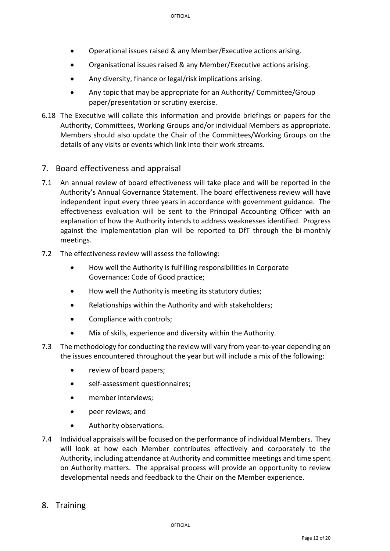- Operational issues raised & any Member/Executive actions arising.
- Organisational issues raised & any Member/Executive actions arising.
- Any diversity, finance or legal/risk implications arising.
- Any topic that may be appropriate for an Authority/ Committee/Group paper/presentation or scrutiny exercise.
- 6.18 The Executive will collate this information and provide briefings or papers for the Authority, Committees, Working Groups and/or individual Members as appropriate. Members should also update the Chair of the Committees/Working Groups on the details of any visits or events which link into their work streams.

# 7. Board effectiveness and appraisal

- 7.1 An annual review of board effectiveness will take place and will be reported in the Authority's Annual Governance Statement. The board effectiveness review will have independent input every three years in accordance with government guidance. The effectiveness evaluation will be sent to the Principal Accounting Officer with an explanation of how the Authority intends to address weaknesses identified. Progress against the implementation plan will be reported to DfT through the bi-monthly meetings.
- 7.2 The effectiveness review will assess the following:
	- How well the Authority is fulfilling responsibilities in Corporate Governance: Code of Good practice;
	- How well the Authority is meeting its statutory duties;
	- Relationships within the Authority and with stakeholders;
	- Compliance with controls:
	- Mix of skills, experience and diversity within the Authority.
- 7.3 The methodology for conducting the review will vary from year-to-year depending on the issues encountered throughout the year but will include a mix of the following:
	- review of board papers:
	- self‐assessment questionnaires;
	- member interviews;
	- peer reviews: and
	- Authority observations.
- 7.4 Individual appraisals will be focused on the performance of individual Members. They will look at how each Member contributes effectively and corporately to the Authority, including attendance at Authority and committee meetings and time spent on Authority matters. The appraisal process will provide an opportunity to review developmental needs and feedback to the Chair on the Member experience.
- 8. Training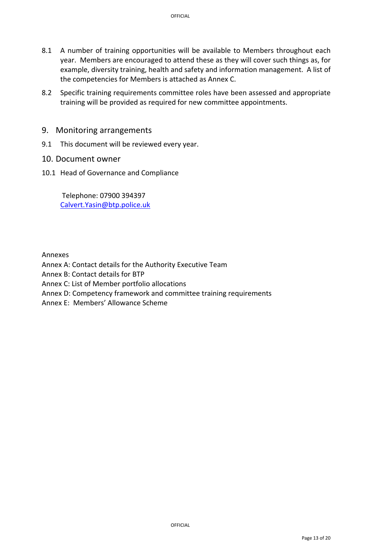- 8.1 A number of training opportunities will be available to Members throughout each year. Members are encouraged to attend these as they will cover such things as, for example, diversity training, health and safety and information management. A list of the competencies for Members is attached as Annex C.
- 8.2 Specific training requirements committee roles have been assessed and appropriate training will be provided as required for new committee appointments.
- 9. Monitoring arrangements
- 9.1 This document will be reviewed every year.
- 10. Document owner
- 10.1 Head of Governance and Compliance

Telephone: 07900 394397 Calvert.Yasin@btp.police.uk

Annexes

Annex A: Contact details for the Authority Executive Team

Annex B: Contact details for BTP

Annex C: List of Member portfolio allocations

Annex D: Competency framework and committee training requirements

Annex E: Members' Allowance Scheme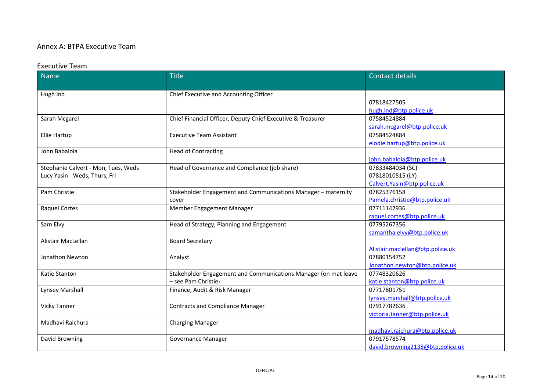#### Annex A: BTPA Executive Team

#### Executive Team

| <b>Name</b>                         | <b>Title</b>                                                    | <b>Contact details</b>           |
|-------------------------------------|-----------------------------------------------------------------|----------------------------------|
|                                     |                                                                 |                                  |
| Hugh Ind                            | Chief Executive and Accounting Officer                          |                                  |
|                                     |                                                                 | 07818427505                      |
|                                     |                                                                 | hugh.ind@btp.police.uk           |
| Sarah Mcgarel                       | Chief Financial Officer, Deputy Chief Executive & Treasurer     | 07584524884                      |
|                                     |                                                                 | sarah.mcgarel@btp.police.uk      |
| <b>Ellie Hartup</b>                 | <b>Executive Team Assistant</b>                                 | 07584524884                      |
|                                     |                                                                 | elodie.hartup@btp.police.uk      |
| John Babalola                       | <b>Head of Contracting</b>                                      |                                  |
|                                     |                                                                 | john.babalola@btp.police.uk      |
| Stephanie Calvert - Mon, Tues, Weds | Head of Governance and Compliance (job share)                   | 07833484034 (SC)                 |
| Lucy Yasin - Weds, Thurs, Fri       |                                                                 | 07818010515 (LY)                 |
|                                     |                                                                 | Calvert. Yasin@btp.police.uk     |
| Pam Christie                        | Stakeholder Engagement and Communications Manager - maternity   | 07825376158                      |
|                                     | cover                                                           | Pamela.christie@btp.police.uk    |
| <b>Raquel Cortes</b>                | Member Engagement Manager                                       | 07711147936                      |
|                                     |                                                                 | raquel.cortes@btp.police.uk      |
| Sam Elvy                            | Head of Strategy, Planning and Engagement                       | 07795267356                      |
|                                     |                                                                 | samantha.elvy@btp.police.uk      |
| Alistair MacLellan                  | <b>Board Secretary</b>                                          |                                  |
|                                     |                                                                 | Alistair.maclellan@btp.police.uk |
| Jonathon Newton                     | Analyst                                                         | 07880154752                      |
|                                     |                                                                 | Jonathon.newton@btp.police.uk    |
| Katie Stanton                       | Stakeholder Engagement and Communications Manager (on mat leave | 07748320626                      |
|                                     | - see Pam Christie)                                             | katie.stanton@btp.police.uk      |
| Lynsey Marshall                     | Finance, Audit & Risk Manager                                   | 07717801751                      |
|                                     |                                                                 | lynsey.marshall@btp.police,uk    |
| <b>Vicky Tanner</b>                 | <b>Contracts and Compliance Manager</b>                         | 07917782636                      |
|                                     |                                                                 | victoria.tanner@btp.police.uk    |
| Madhavi Raichura                    | <b>Charging Manager</b>                                         |                                  |
|                                     |                                                                 | madhavi.raichura@btp.police.uk   |
| David Browning                      | Governance Manager                                              | 07917578574                      |
|                                     |                                                                 | david.browning2138@btp.police.uk |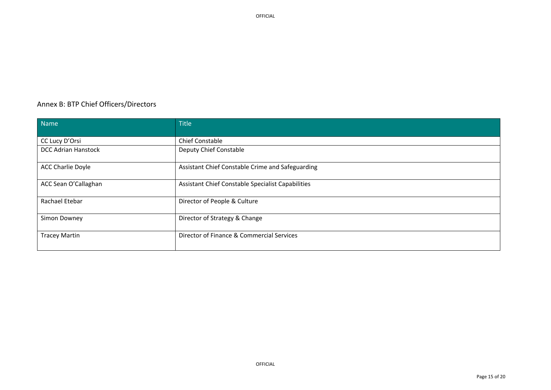#### Annex B: BTP Chief Officers/Directors

| Name                       | <b>Title</b>                                      |
|----------------------------|---------------------------------------------------|
| CC Lucy D'Orsi             | Chief Constable                                   |
| <b>DCC Adrian Hanstock</b> | Deputy Chief Constable                            |
| <b>ACC Charlie Doyle</b>   | Assistant Chief Constable Crime and Safeguarding  |
| ACC Sean O'Callaghan       | Assistant Chief Constable Specialist Capabilities |
| Rachael Etebar             | Director of People & Culture                      |
| Simon Downey               | Director of Strategy & Change                     |
| <b>Tracey Martin</b>       | Director of Finance & Commercial Services         |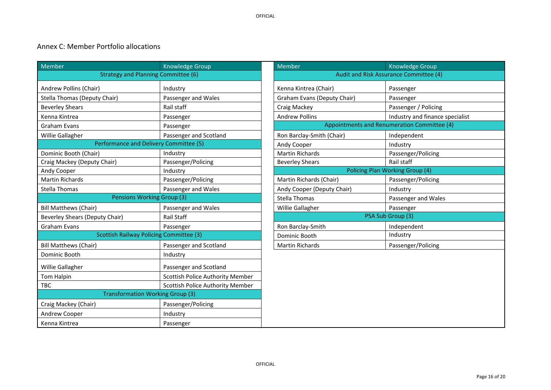#### Annex C: Member Portfolio allocations

| Member                                         | <b>Knowledge Group</b>                  | Member                      | Knowledge Group                             |
|------------------------------------------------|-----------------------------------------|-----------------------------|---------------------------------------------|
| <b>Strategy and Planning Committee (6)</b>     |                                         |                             | Audit and Risk Assurance Committee (4)      |
| Andrew Pollins (Chair)                         | Industry                                | Kenna Kintrea (Chair)       | Passenger                                   |
| <b>Stella Thomas (Deputy Chair)</b>            | Passenger and Wales                     | Graham Evans (Deputy Chair) | Passenger                                   |
| <b>Beverley Shears</b>                         | Rail staff                              | Craig Mackey                | Passenger / Policing                        |
| Kenna Kintrea                                  | Passenger                               | <b>Andrew Pollins</b>       | Industry and finance specialist             |
| <b>Graham Evans</b>                            | Passenger                               |                             | Appointments and Renumeration Committee (4) |
| Willie Gallagher                               | Passenger and Scotland                  | Ron Barclay-Smith (Chair)   | Independent                                 |
| Performance and Delivery Committee (5)         |                                         | Andy Cooper                 | Industry                                    |
| Dominic Booth (Chair)                          | Industry                                | <b>Martin Richards</b>      | Passenger/Policing                          |
| Craig Mackey (Deputy Chair)                    | Passenger/Policing                      | <b>Beverley Shears</b>      | Rail staff                                  |
| Andy Cooper                                    | Industry                                |                             | Policing Plan Working Group (4)             |
| <b>Martin Richards</b>                         | Passenger/Policing                      | Martin Richards (Chair)     | Passenger/Policing                          |
| Stella Thomas                                  | Passenger and Wales                     | Andy Cooper (Deputy Chair)  | Industry                                    |
| <b>Pensions Working Group (3)</b>              |                                         | <b>Stella Thomas</b>        | Passenger and Wales                         |
| <b>Bill Matthews (Chair)</b>                   | Passenger and Wales                     | Willie Gallagher            | Passenger                                   |
| <b>Beverley Shears (Deputy Chair)</b>          | <b>Rail Staff</b>                       |                             | PSA Sub Group (3)                           |
| <b>Graham Evans</b>                            | Passenger                               | Ron Barclay-Smith           | Independent                                 |
| <b>Scottish Railway Policing Committee (3)</b> |                                         | Dominic Booth               | Industry                                    |
| <b>Bill Matthews (Chair)</b>                   | Passenger and Scotland                  | <b>Martin Richards</b>      | Passenger/Policing                          |
| Dominic Booth                                  | Industry                                |                             |                                             |
| Willie Gallagher                               | Passenger and Scotland                  |                             |                                             |
| Tom Halpin                                     | Scottish Police Authority Member        |                             |                                             |
| <b>TBC</b>                                     | <b>Scottish Police Authority Member</b> |                             |                                             |
| <b>Transformation Working Group (3)</b>        |                                         |                             |                                             |
| Craig Mackey (Chair)                           | Passenger/Policing                      |                             |                                             |
| Andrew Cooper                                  | Industry                                |                             |                                             |
| Kenna Kintrea                                  | Passenger                               |                             |                                             |

|                                      | Knowledge Group                        | Member                      | Knowledge Group                             |  |
|--------------------------------------|----------------------------------------|-----------------------------|---------------------------------------------|--|
| Strategy and Planning Committee (6)  |                                        |                             | Audit and Risk Assurance Committee (4)      |  |
|                                      | Industry                               | Kenna Kintrea (Chair)       | Passenger                                   |  |
| Chair)                               | Passenger and Wales                    | Graham Evans (Deputy Chair) | Passenger                                   |  |
|                                      | Rail staff                             | Craig Mackey                | Passenger / Policing                        |  |
|                                      | Passenger                              | <b>Andrew Pollins</b>       | Industry and finance specialist             |  |
|                                      | Passenger                              |                             | Appointments and Renumeration Committee (4) |  |
|                                      | Passenger and Scotland                 | Ron Barclay-Smith (Chair)   | Independent                                 |  |
| rformance and Delivery Committee (5) |                                        | Andy Cooper                 | Industry                                    |  |
|                                      | Industry                               | <b>Martin Richards</b>      | Passenger/Policing                          |  |
| Chair)                               | Passenger/Policing                     | <b>Beverley Shears</b>      | Rail staff                                  |  |
|                                      | Industry                               |                             | Policing Plan Working Group (4)             |  |
|                                      | Passenger/Policing                     | Martin Richards (Chair)     | Passenger/Policing                          |  |
|                                      | Passenger and Wales                    | Andy Cooper (Deputy Chair)  | Industry                                    |  |
| <b>Pensions Working Group (3)</b>    |                                        | Stella Thomas               | Passenger and Wales                         |  |
|                                      | Passenger and Wales                    | Willie Gallagher            | Passenger                                   |  |
| ty Chair)                            | Rail Staff                             |                             | PSA Sub Group (3)                           |  |
|                                      | Passenger                              | Ron Barclay-Smith           | Independent                                 |  |
|                                      | cottish Railway Policing Committee (3) | Dominic Booth               | Industry                                    |  |
|                                      | Passenger and Scotland                 | <b>Martin Richards</b>      | Passenger/Policing                          |  |
|                                      | Industry                               |                             |                                             |  |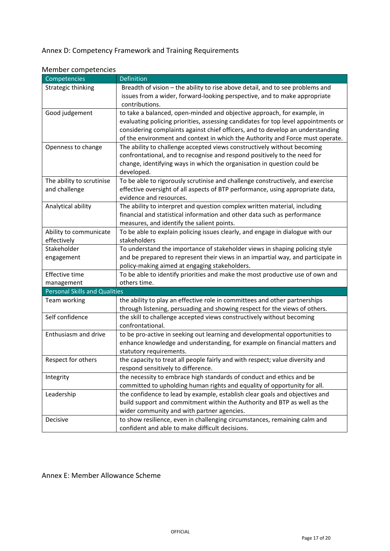# Annex D: Competency Framework and Training Requirements

| <b>IVICITING COMPUTERING</b><br>Competencies | Definition                                                                         |
|----------------------------------------------|------------------------------------------------------------------------------------|
|                                              |                                                                                    |
| Strategic thinking                           | Breadth of vision - the ability to rise above detail, and to see problems and      |
|                                              | issues from a wider, forward-looking perspective, and to make appropriate          |
|                                              | contributions.                                                                     |
| Good judgement                               | to take a balanced, open-minded and objective approach, for example, in            |
|                                              | evaluating policing priorities, assessing candidates for top level appointments or |
|                                              | considering complaints against chief officers, and to develop an understanding     |
|                                              | of the environment and context in which the Authority and Force must operate.      |
| Openness to change                           | The ability to challenge accepted views constructively without becoming            |
|                                              | confrontational, and to recognise and respond positively to the need for           |
|                                              | change, identifying ways in which the organisation in question could be            |
|                                              | developed.                                                                         |
| The ability to scrutinise                    | To be able to rigorously scrutinise and challenge constructively, and exercise     |
| and challenge                                | effective oversight of all aspects of BTP performance, using appropriate data,     |
|                                              | evidence and resources.                                                            |
| Analytical ability                           | The ability to interpret and question complex written material, including          |
|                                              | financial and statistical information and other data such as performance           |
|                                              | measures, and identify the salient points.                                         |
| Ability to communicate                       | To be able to explain policing issues clearly, and engage in dialogue with our     |
| effectively                                  | stakeholders                                                                       |
| Stakeholder                                  | To understand the importance of stakeholder views in shaping policing style        |
| engagement                                   | and be prepared to represent their views in an impartial way, and participate in   |
|                                              | policy-making aimed at engaging stakeholders.                                      |
| Effective time                               | To be able to identify priorities and make the most productive use of own and      |
| management                                   | others time.                                                                       |
| <b>Personal Skills and Qualities</b>         |                                                                                    |
| Team working                                 | the ability to play an effective role in committees and other partnerships         |
|                                              | through listening, persuading and showing respect for the views of others.         |
| Self confidence                              | the skill to challenge accepted views constructively without becoming              |
|                                              | confrontational.                                                                   |
| Enthusiasm and drive                         | to be pro-active in seeking out learning and developmental opportunities to        |
|                                              | enhance knowledge and understanding, for example on financial matters and          |
|                                              | statutory requirements.                                                            |
|                                              |                                                                                    |
| Respect for others                           | the capacity to treat all people fairly and with respect; value diversity and      |
|                                              | respond sensitively to difference.                                                 |
| Integrity                                    | the necessity to embrace high standards of conduct and ethics and be               |
|                                              | committed to upholding human rights and equality of opportunity for all.           |
| Leadership                                   | the confidence to lead by example, establish clear goals and objectives and        |
|                                              | build support and commitment within the Authority and BTP as well as the           |
|                                              | wider community and with partner agencies.                                         |
| Decisive                                     | to show resilience, even in challenging circumstances, remaining calm and          |
|                                              | confident and able to make difficult decisions.                                    |

# Annex E: Member Allowance Scheme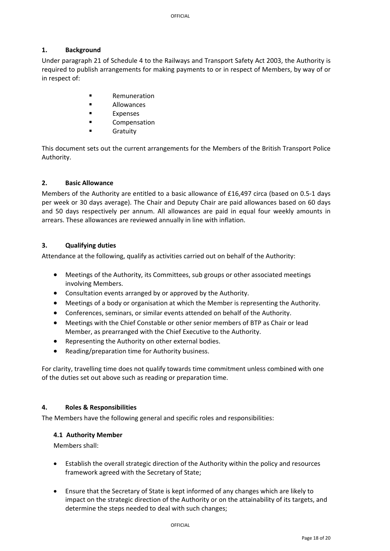# **1. Background**

Under paragraph 21 of Schedule 4 to the Railways and Transport Safety Act 2003, the Authority is required to publish arrangements for making payments to or in respect of Members, by way of or in respect of:

- Remuneration
- **E** Allowances
- **Expenses**
- **E** Compensation
- Gratuity

This document sets out the current arrangements for the Members of the British Transport Police Authority.

# **2. Basic Allowance**

Members of the Authority are entitled to a basic allowance of £16,497 circa (based on 0.5‐1 days per week or 30 days average). The Chair and Deputy Chair are paid allowances based on 60 days and 50 days respectively per annum. All allowances are paid in equal four weekly amounts in arrears. These allowances are reviewed annually in line with inflation.

# **3. Qualifying duties**

Attendance at the following, qualify as activities carried out on behalf of the Authority:

- Meetings of the Authority, its Committees, sub groups or other associated meetings involving Members.
- Consultation events arranged by or approved by the Authority.
- Meetings of a body or organisation at which the Member is representing the Authority.
- Conferences, seminars, or similar events attended on behalf of the Authority.
- Meetings with the Chief Constable or other senior members of BTP as Chair or lead Member, as prearranged with the Chief Executive to the Authority.
- Representing the Authority on other external bodies.
- Reading/preparation time for Authority business.

For clarity, travelling time does not qualify towards time commitment unless combined with one of the duties set out above such as reading or preparation time.

# **4. Roles & Responsibilities**

The Members have the following general and specific roles and responsibilities:

# **4.1 Authority Member**

Members shall:

- Establish the overall strategic direction of the Authority within the policy and resources framework agreed with the Secretary of State;
- Ensure that the Secretary of State is kept informed of any changes which are likely to impact on the strategic direction of the Authority or on the attainability of its targets, and determine the steps needed to deal with such changes;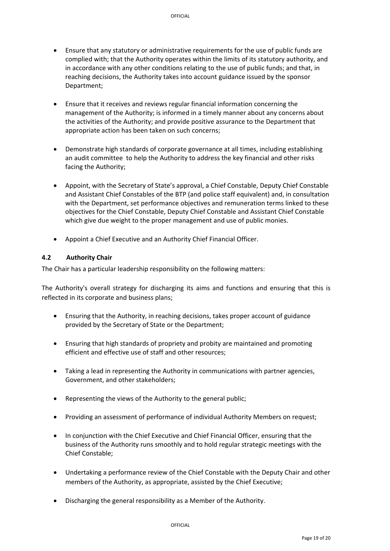- Ensure that any statutory or administrative requirements for the use of public funds are complied with; that the Authority operates within the limits of its statutory authority, and in accordance with any other conditions relating to the use of public funds; and that, in reaching decisions, the Authority takes into account guidance issued by the sponsor Department;
- Ensure that it receives and reviews regular financial information concerning the management of the Authority; is informed in a timely manner about any concerns about the activities of the Authority; and provide positive assurance to the Department that appropriate action has been taken on such concerns;
- Demonstrate high standards of corporate governance at all times, including establishing an audit committee to help the Authority to address the key financial and other risks facing the Authority;
- Appoint, with the Secretary of State's approval, a Chief Constable, Deputy Chief Constable and Assistant Chief Constables of the BTP (and police staff equivalent) and, in consultation with the Department, set performance objectives and remuneration terms linked to these objectives for the Chief Constable, Deputy Chief Constable and Assistant Chief Constable which give due weight to the proper management and use of public monies.
- Appoint a Chief Executive and an Authority Chief Financial Officer.

# **4.2 Authority Chair**

The Chair has a particular leadership responsibility on the following matters:

The Authority's overall strategy for discharging its aims and functions and ensuring that this is reflected in its corporate and business plans;

- Ensuring that the Authority, in reaching decisions, takes proper account of guidance provided by the Secretary of State or the Department;
- Ensuring that high standards of propriety and probity are maintained and promoting efficient and effective use of staff and other resources;
- Taking a lead in representing the Authority in communications with partner agencies, Government, and other stakeholders;
- Representing the views of the Authority to the general public;
- Providing an assessment of performance of individual Authority Members on request;
- In conjunction with the Chief Executive and Chief Financial Officer, ensuring that the business of the Authority runs smoothly and to hold regular strategic meetings with the Chief Constable;
- Undertaking a performance review of the Chief Constable with the Deputy Chair and other members of the Authority, as appropriate, assisted by the Chief Executive;
- Discharging the general responsibility as a Member of the Authority.